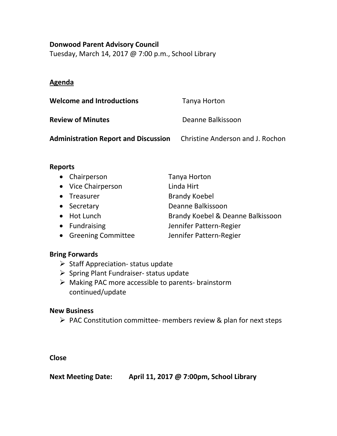## **Donwood Parent Advisory Council**

Tuesday, March 14, 2017 @ 7:00 p.m., School Library

# **Agenda**

| <b>Welcome and Introductions</b>            | Tanya Horton                     |
|---------------------------------------------|----------------------------------|
| <b>Review of Minutes</b>                    | Deanne Balkissoon                |
| <b>Administration Report and Discussion</b> | Christine Anderson and J. Rochon |

## **Reports**

| • Chairperson        | Tanya Horton                      |
|----------------------|-----------------------------------|
| • Vice Chairperson   | Linda Hirt                        |
| • Treasurer          | <b>Brandy Koebel</b>              |
| • Secretary          | Deanne Balkissoon                 |
| • Hot Lunch          | Brandy Koebel & Deanne Balkissoon |
| • Fundraising        | Jennifer Pattern-Regier           |
| • Greening Committee | Jennifer Pattern-Regier           |

#### **Bring Forwards**

- $\triangleright$  Staff Appreciation- status update
- $\triangleright$  Spring Plant Fundraiser- status update
- Making PAC more accessible to parents- brainstorm continued/update

#### **New Business**

 $\triangleright$  PAC Constitution committee- members review & plan for next steps

**Close**

**Next Meeting Date: April 11, 2017 @ 7:00pm, School Library**